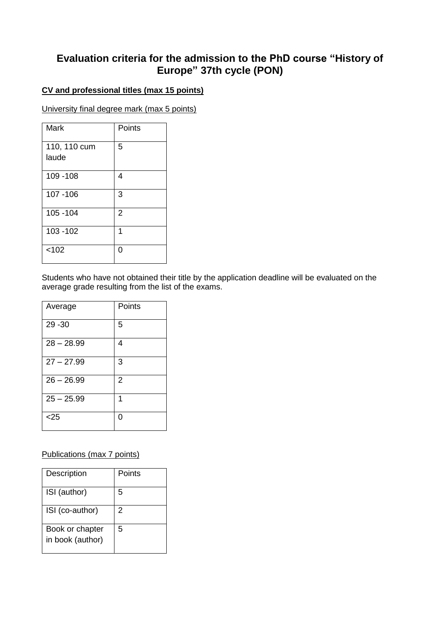# **Evaluation criteria for the admission to the PhD course "History of Europe" 37th cycle (PON)**

## **CV and professional titles (max 15 points)**

University final degree mark (max 5 points)

| <b>Mark</b>           | Points         |
|-----------------------|----------------|
| 110, 110 cum<br>laude | 5              |
| 109 - 108             | 4              |
| 107 - 106             | 3              |
| 105 - 104             | $\overline{2}$ |
| 103 - 102             | 1              |
| < 102                 | ი              |

Students who have not obtained their title by the application deadline will be evaluated on the average grade resulting from the list of the exams.

| Average      | Points         |
|--------------|----------------|
| 29 - 30      | 5              |
| $28 - 28.99$ | 4              |
| $27 - 27.99$ | 3              |
| $26 - 26.99$ | $\overline{2}$ |
| $25 - 25.99$ | 1              |
| $<$ 25       | 0              |

### Publications (max 7 points)

| Description      | Points |
|------------------|--------|
| ISI (author)     | 5      |
| ISI (co-author)  | 2      |
| Book or chapter  | 5      |
| in book (author) |        |